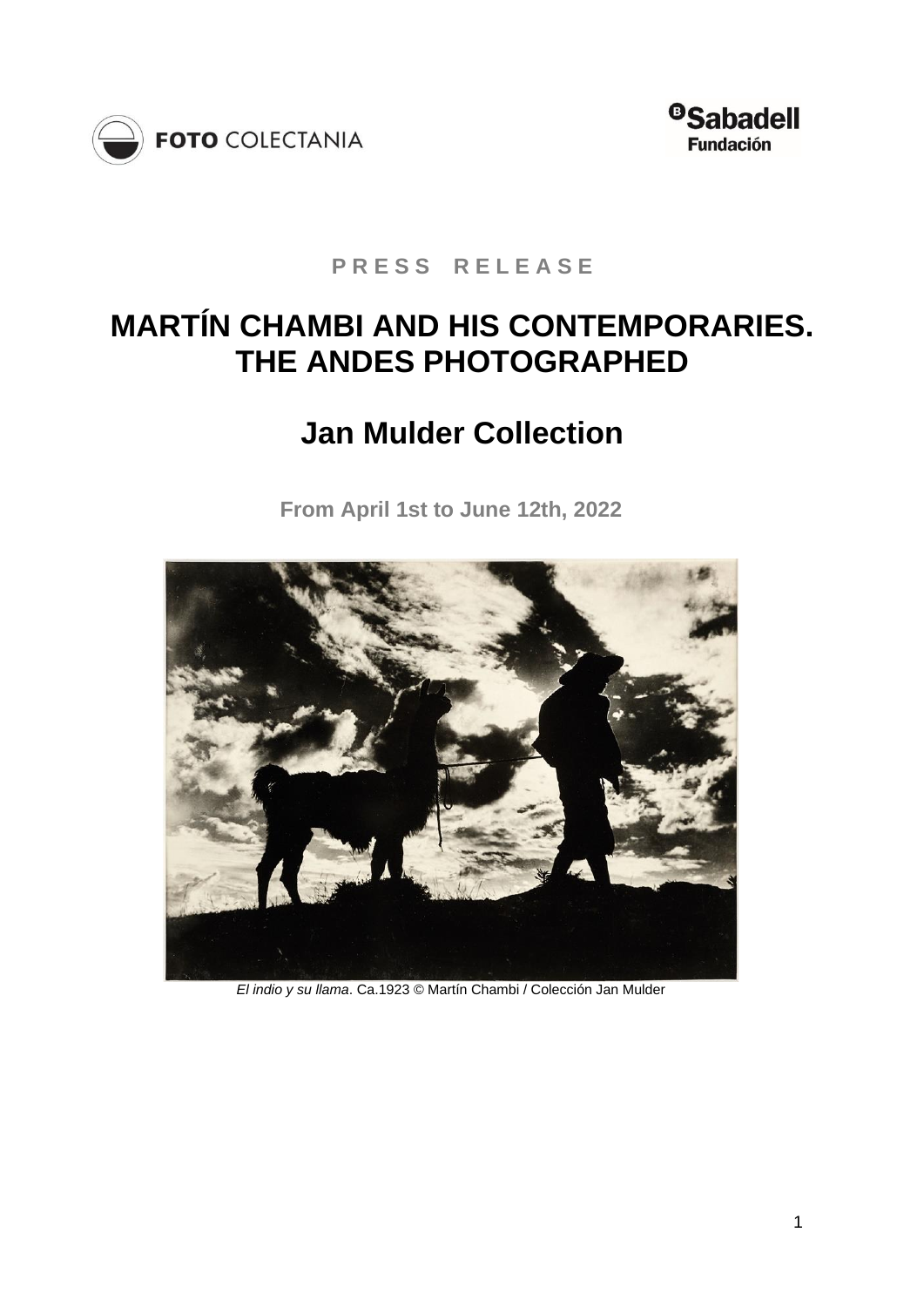



**P R E S S R E L E A S E** 

# **MARTÍN CHAMBI AND HIS CONTEMPORARIES. THE ANDES PHOTOGRAPHED**

# **Jan Mulder Collection**

**From April 1st to June 12th, 2022**



*El indio y su llama*. Ca.1923 © Martín Chambi / Colección Jan Mulder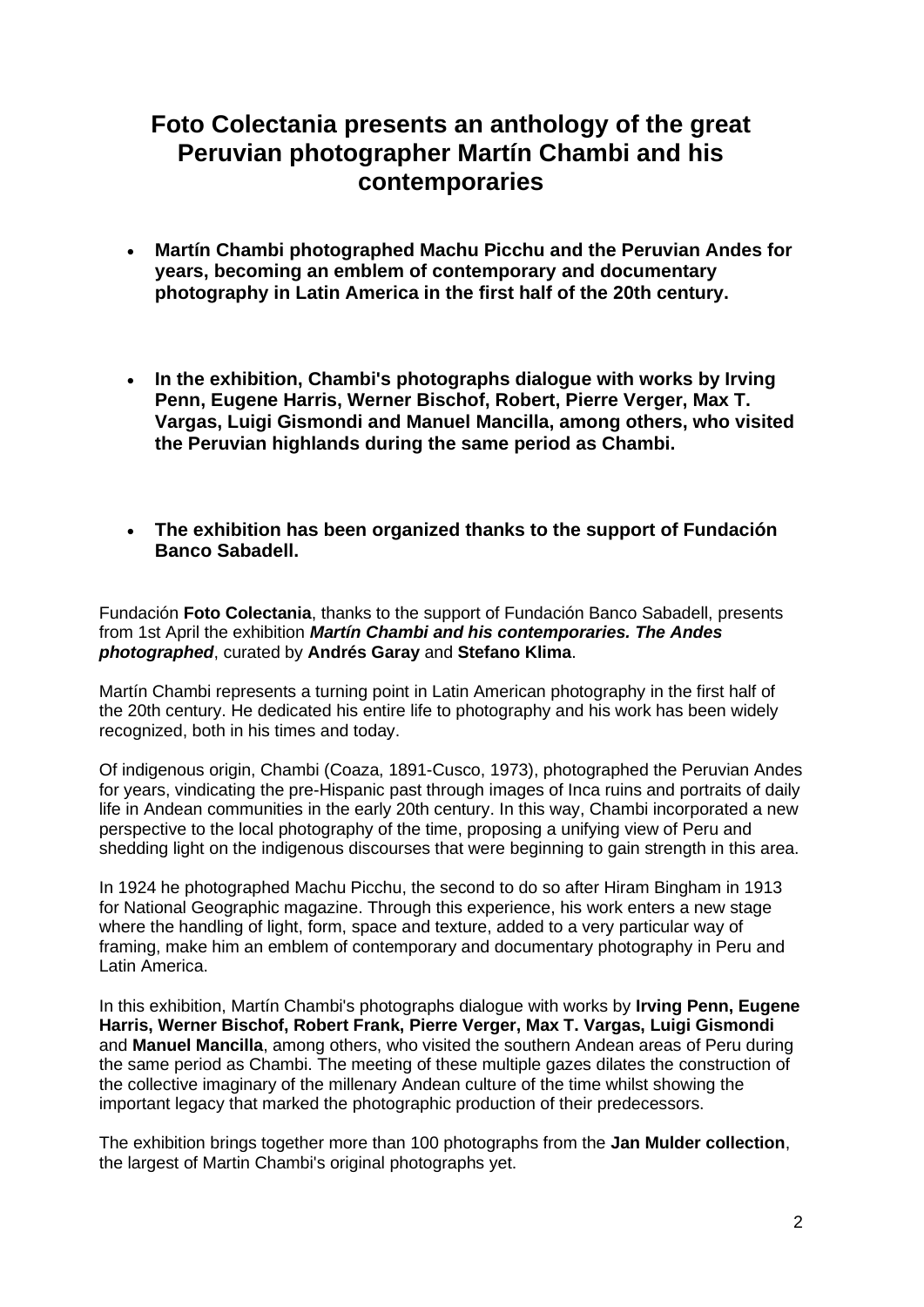## **Foto Colectania presents an anthology of the great Peruvian photographer Martín Chambi and his contemporaries**

- **Martín Chambi photographed Machu Picchu and the Peruvian Andes for years, becoming an emblem of contemporary and documentary photography in Latin America in the first half of the 20th century.**
- **In the exhibition, Chambi's photographs dialogue with works by Irving Penn, Eugene Harris, Werner Bischof, Robert, Pierre Verger, Max T. Vargas, Luigi Gismondi and Manuel Mancilla, among others, who visited the Peruvian highlands during the same period as Chambi.**
- **The exhibition has been organized thanks to the support of Fundación Banco Sabadell.**

Fundación **Foto Colectania**, thanks to the support of Fundación Banco Sabadell, presents from 1st April the exhibition *Martín Chambi and his contemporaries. The Andes photographed*, curated by **Andrés Garay** and **Stefano Klima**.

Martín Chambi represents a turning point in Latin American photography in the first half of the 20th century. He dedicated his entire life to photography and his work has been widely recognized, both in his times and today.

Of indigenous origin, Chambi (Coaza, 1891-Cusco, 1973), photographed the Peruvian Andes for years, vindicating the pre-Hispanic past through images of Inca ruins and portraits of daily life in Andean communities in the early 20th century. In this way, Chambi incorporated a new perspective to the local photography of the time, proposing a unifying view of Peru and shedding light on the indigenous discourses that were beginning to gain strength in this area.

In 1924 he photographed Machu Picchu, the second to do so after Hiram Bingham in 1913 for National Geographic magazine. Through this experience, his work enters a new stage where the handling of light, form, space and texture, added to a very particular way of framing, make him an emblem of contemporary and documentary photography in Peru and Latin America.

In this exhibition, Martín Chambi's photographs dialogue with works by **Irving Penn, Eugene Harris, Werner Bischof, Robert Frank, Pierre Verger, Max T. Vargas, Luigi Gismondi**  and **Manuel Mancilla**, among others, who visited the southern Andean areas of Peru during the same period as Chambi. The meeting of these multiple gazes dilates the construction of the collective imaginary of the millenary Andean culture of the time whilst showing the important legacy that marked the photographic production of their predecessors.

The exhibition brings together more than 100 photographs from the **Jan Mulder collection**, the largest of Martin Chambi's original photographs yet.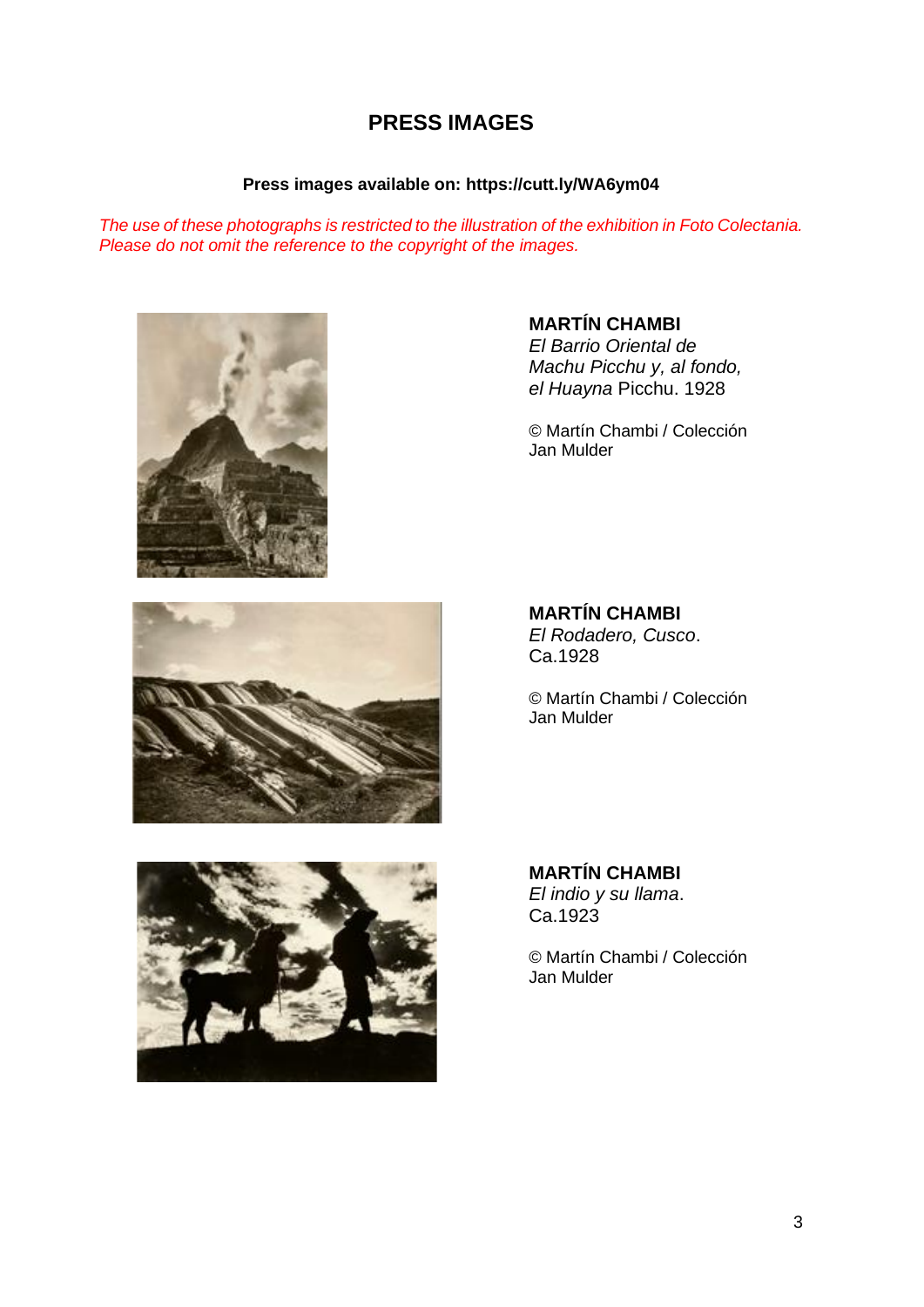## **PRESS IMAGES**

### **Press images available on: https://cutt.ly/WA6ym04**

*The use of these photographs is restricted to the illustration of the exhibition in Foto Colectania. Please do not omit the reference to the copyright of the images.*



**MARTÍN CHAMBI**

*El Barrio Oriental de Machu Picchu y, al fondo, el Huayna* Picchu. 1928

© Martín Chambi / Colección Jan Mulder



**MARTÍN CHAMBI**

*El Rodadero, Cusco*. Ca.1928

© Martín Chambi / Colección Jan Mulder



**MARTÍN CHAMBI** *El indio y su llama*. Ca.1923

© Martín Chambi / Colección Jan Mulder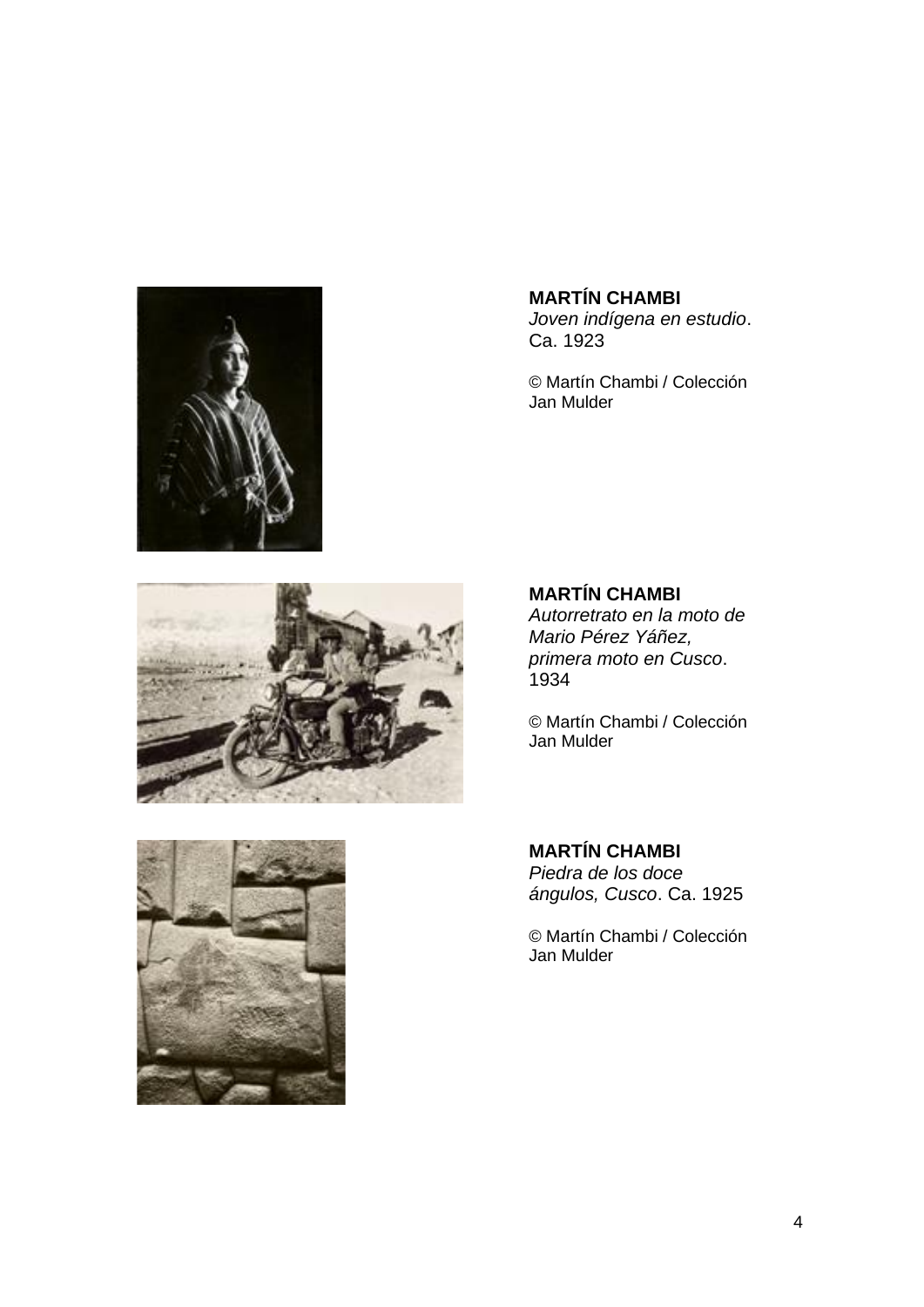

**MARTÍN CHAMBI** *Joven indígena en estudio*. Ca. 1923

© Martín Chambi / Colección Jan Mulder



### **MARTÍN CHAMBI**

*Autorretrato en la moto de Mario Pérez Yáñez, primera moto en Cusco*. 1934

© Martín Chambi / Colección Jan Mulder



**MARTÍN CHAMBI** *Piedra de los doce ángulos, Cusco*. Ca. 1925

© Martín Chambi / Colección Jan Mulder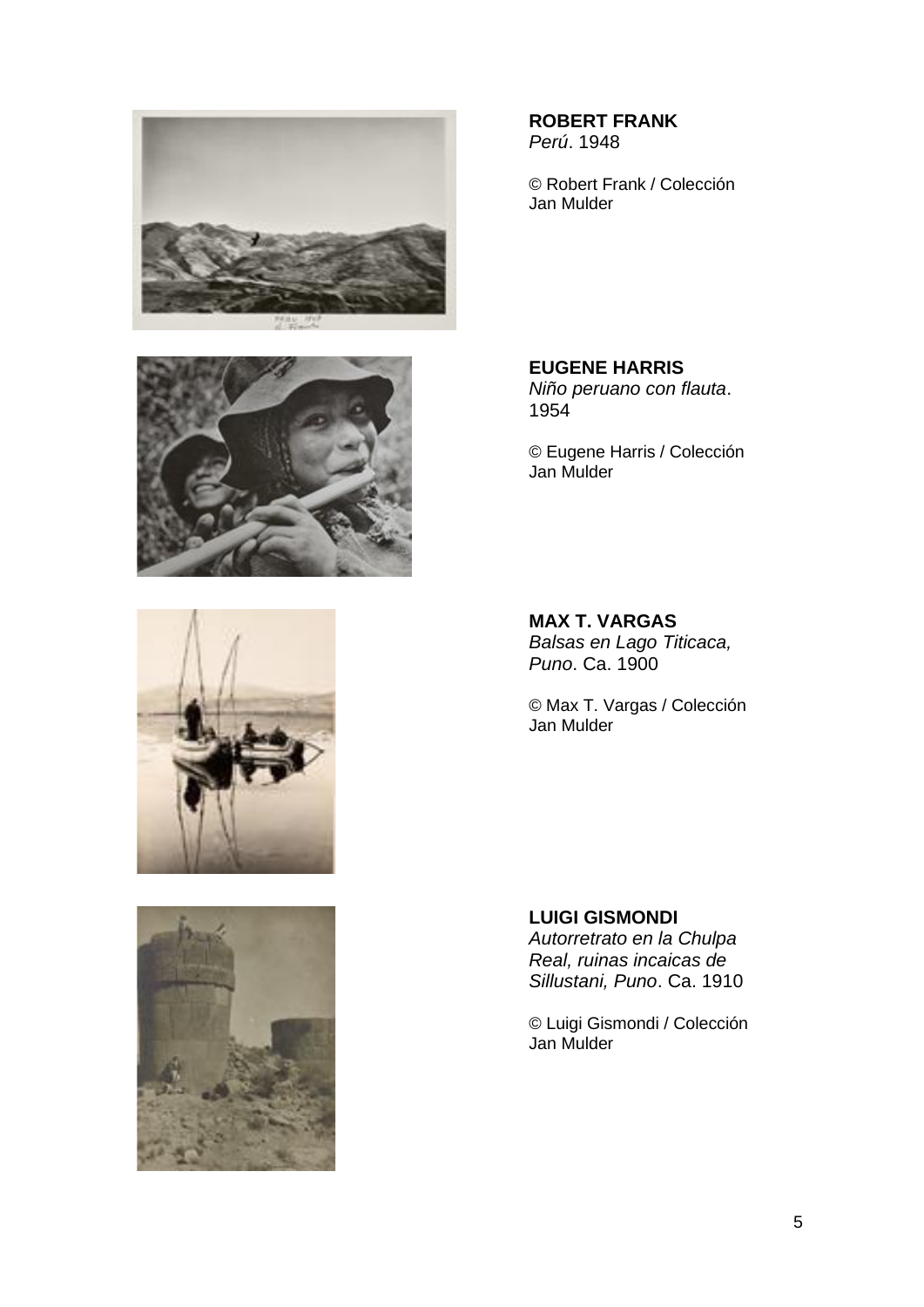







**ROBERT FRANK** *Perú*. 1948

© Robert Frank / Colección Jan Mulder

**EUGENE HARRIS** *Niño peruano con flauta*. 1954

© Eugene Harris / Colección Jan Mulder

**MAX T. VARGAS** *Balsas en Lago Titicaca, Puno*. Ca. 1900

© Max T. Vargas / Colección Jan Mulder

**LUIGI GISMONDI** *Autorretrato en la Chulpa Real, ruinas incaicas de Sillustani, Puno*. Ca. 1910

© Luigi Gismondi / Colección Jan Mulder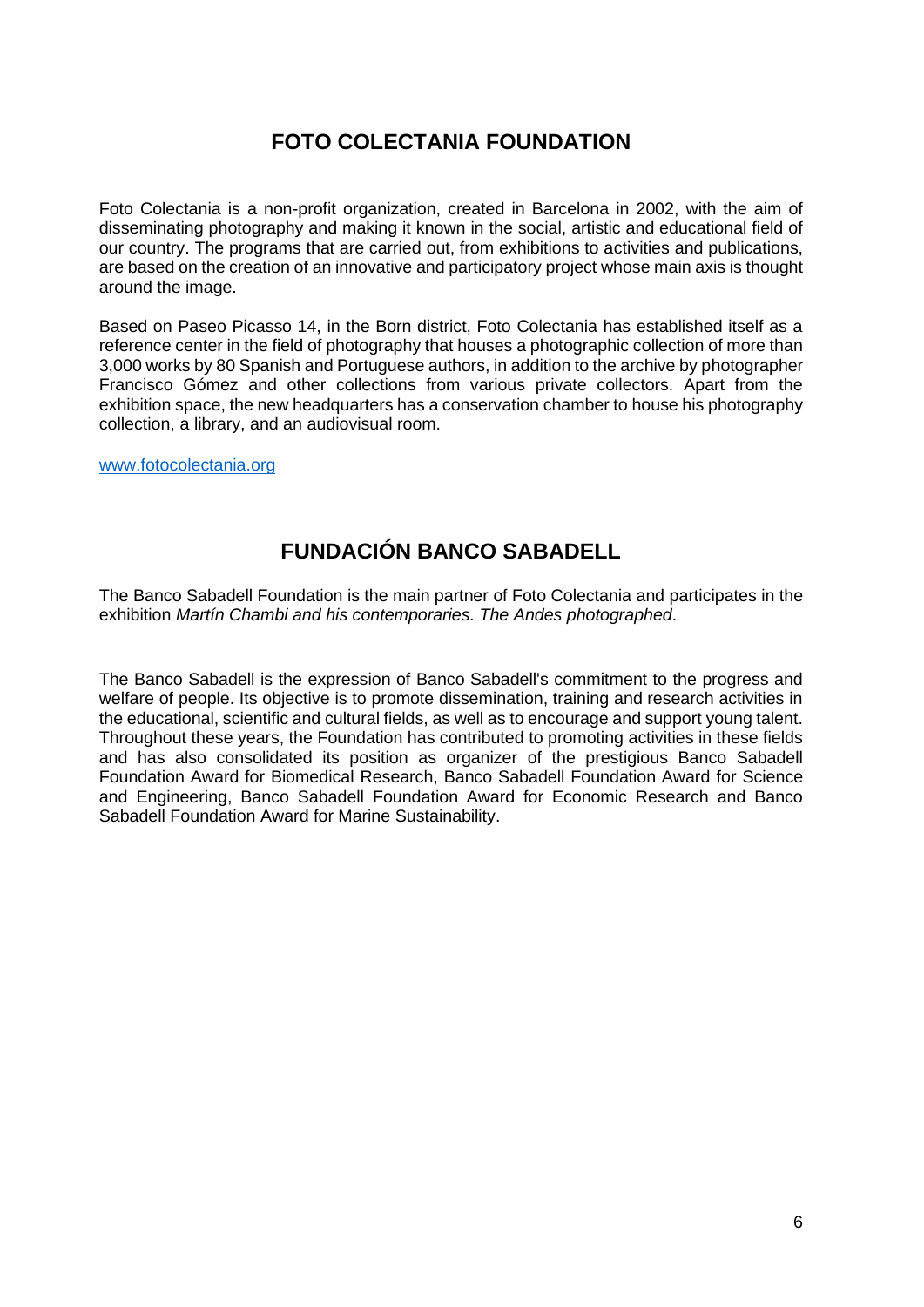## **FOTO COLECTANIA FOUNDATION**

Foto Colectania is a non-profit organization, created in Barcelona in 2002, with the aim of disseminating photography and making it known in the social, artistic and educational field of our country. The programs that are carried out, from exhibitions to activities and publications, are based on the creation of an innovative and participatory project whose main axis is thought around the image.

Based on Paseo Picasso 14, in the Born district, Foto Colectania has established itself as a reference center in the field of photography that houses a photographic collection of more than 3,000 works by 80 Spanish and Portuguese authors, in addition to the archive by photographer Francisco Gómez and other collections from various private collectors. Apart from the exhibition space, the new headquarters has a conservation chamber to house his photography collection, a library, and an audiovisual room.

[www.fotocolectania.org](http://www.fotocolectania.org/)

## **FUNDACIÓN BANCO SABADELL**

The Banco Sabadell Foundation is the main partner of Foto Colectania and participates in the exhibition *Martín Chambi and his contemporaries. The Andes photographed*.

The Banco Sabadell is the expression of Banco Sabadell's commitment to the progress and welfare of people. Its objective is to promote dissemination, training and research activities in the educational, scientific and cultural fields, as well as to encourage and support young talent. Throughout these years, the Foundation has contributed to promoting activities in these fields and has also consolidated its position as organizer of the prestigious Banco Sabadell Foundation Award for Biomedical Research, Banco Sabadell Foundation Award for Science and Engineering, Banco Sabadell Foundation Award for Economic Research and Banco Sabadell Foundation Award for Marine Sustainability.